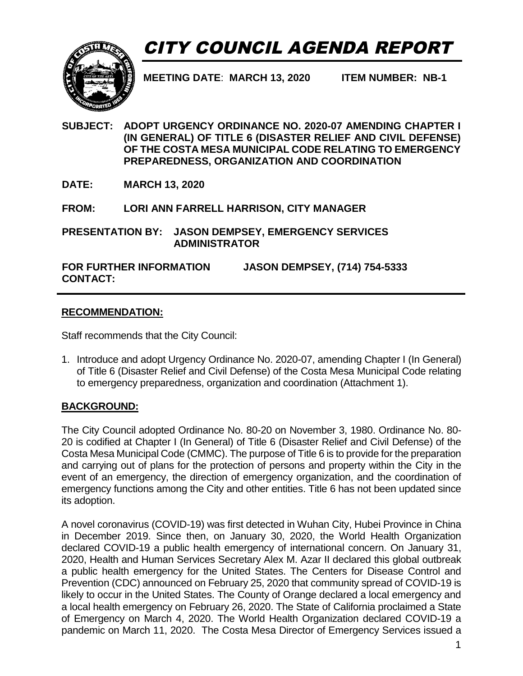# CITY COUNCIL AGENDA REPORT



**MEETING DATE**: **MARCH 13, 2020 ITEM NUMBER: NB-1**

- **SUBJECT: ADOPT URGENCY ORDINANCE NO. 2020-07 AMENDING CHAPTER I (IN GENERAL) OF TITLE 6 (DISASTER RELIEF AND CIVIL DEFENSE) OF THE COSTA MESA MUNICIPAL CODE RELATING TO EMERGENCY PREPAREDNESS, ORGANIZATION AND COORDINATION**
- **DATE: MARCH 13, 2020**

**FROM: LORI ANN FARRELL HARRISON, CITY MANAGER**

**PRESENTATION BY: JASON DEMPSEY, EMERGENCY SERVICES ADMINISTRATOR** 

**FOR FURTHER INFORMATION CONTACT: JASON DEMPSEY, (714) 754-5333**

#### **RECOMMENDATION:**

Staff recommends that the City Council:

1. Introduce and adopt Urgency Ordinance No. 2020-07, amending Chapter I (In General) of Title 6 (Disaster Relief and Civil Defense) of the Costa Mesa Municipal Code relating to emergency preparedness, organization and coordination (Attachment 1).

### **BACKGROUND:**

The City Council adopted Ordinance No. 80-20 on November 3, 1980. Ordinance No. 80- 20 is codified at Chapter I (In General) of Title 6 (Disaster Relief and Civil Defense) of the Costa Mesa Municipal Code (CMMC). The purpose of Title 6 is to provide for the preparation and carrying out of plans for the protection of persons and property within the City in the event of an emergency, the direction of emergency organization, and the coordination of emergency functions among the City and other entities. Title 6 has not been updated since its adoption.

A novel coronavirus (COVID-19) was first detected in Wuhan City, Hubei Province in China in December 2019. Since then, on January 30, 2020, the World Health Organization declared COVID-19 a public health emergency of international concern. On January 31, 2020, Health and Human Services Secretary Alex M. Azar II declared this global outbreak a public health emergency for the United States. The Centers for Disease Control and Prevention (CDC) announced on February 25, 2020 that community spread of COVID-19 is likely to occur in the United States. The County of Orange declared a local emergency and a local health emergency on February 26, 2020. The State of California proclaimed a State of Emergency on March 4, 2020. The World Health Organization declared COVID-19 a pandemic on March 11, 2020. The Costa Mesa Director of Emergency Services issued a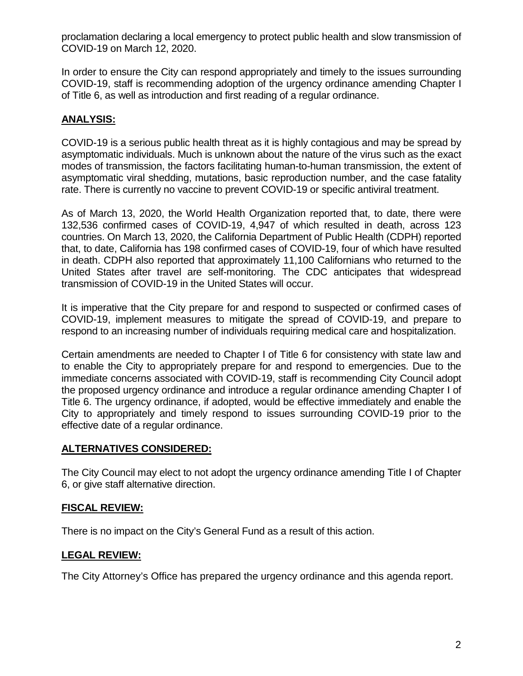proclamation declaring a local emergency to protect public health and slow transmission of COVID-19 on March 12, 2020.

In order to ensure the City can respond appropriately and timely to the issues surrounding COVID-19, staff is recommending adoption of the urgency ordinance amending Chapter I of Title 6, as well as introduction and first reading of a regular ordinance.

# **ANALYSIS:**

COVID-19 is a serious public health threat as it is highly contagious and may be spread by asymptomatic individuals. Much is unknown about the nature of the virus such as the exact modes of transmission, the factors facilitating human-to-human transmission, the extent of asymptomatic viral shedding, mutations, basic reproduction number, and the case fatality rate. There is currently no vaccine to prevent COVID-19 or specific antiviral treatment.

As of March 13, 2020, the World Health Organization reported that, to date, there were 132,536 confirmed cases of COVID-19, 4,947 of which resulted in death, across 123 countries. On March 13, 2020, the California Department of Public Health (CDPH) reported that, to date, California has 198 confirmed cases of COVID-19, four of which have resulted in death. CDPH also reported that approximately 11,100 Californians who returned to the United States after travel are self-monitoring. The CDC anticipates that widespread transmission of COVID-19 in the United States will occur.

It is imperative that the City prepare for and respond to suspected or confirmed cases of COVID-19, implement measures to mitigate the spread of COVID-19, and prepare to respond to an increasing number of individuals requiring medical care and hospitalization.

Certain amendments are needed to Chapter I of Title 6 for consistency with state law and to enable the City to appropriately prepare for and respond to emergencies. Due to the immediate concerns associated with COVID-19, staff is recommending City Council adopt the proposed urgency ordinance and introduce a regular ordinance amending Chapter I of Title 6. The urgency ordinance, if adopted, would be effective immediately and enable the City to appropriately and timely respond to issues surrounding COVID-19 prior to the effective date of a regular ordinance.

### **ALTERNATIVES CONSIDERED:**

The City Council may elect to not adopt the urgency ordinance amending Title I of Chapter 6, or give staff alternative direction.

### **FISCAL REVIEW:**

There is no impact on the City's General Fund as a result of this action.

### **LEGAL REVIEW:**

The City Attorney's Office has prepared the urgency ordinance and this agenda report.